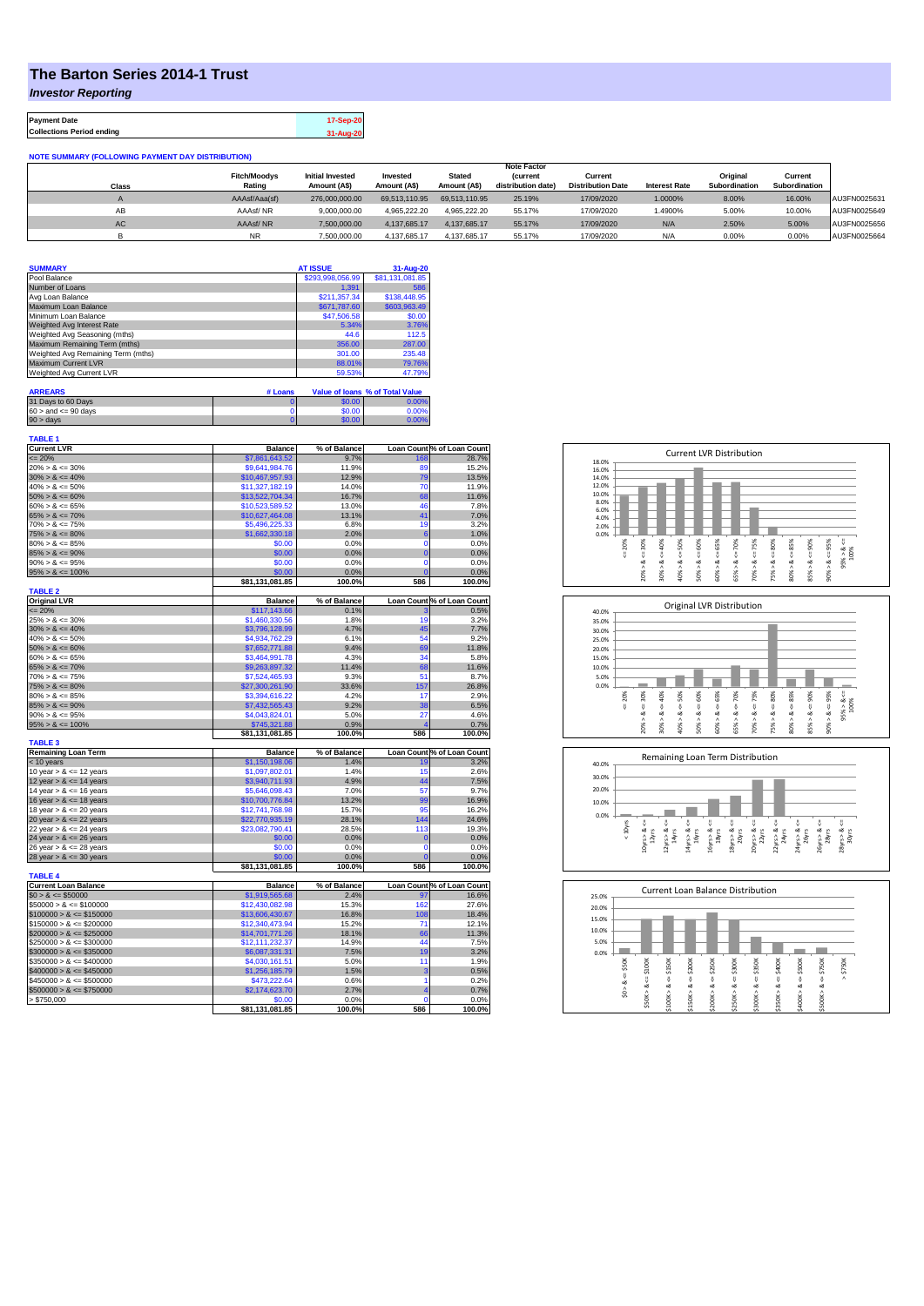## **The Barton Series 2014-1 Trust**

*Investor Reporting*

**Payment Date 17-Sep-20 Collections Period ending 31-Aug-20**

## **NOTE SUMMARY (FOLLOWING PAYMENT DAY DISTRIBUTION)**

|           |                     |                         |               |               | <b>Note Factor</b> |                          |                      |               |               |              |
|-----------|---------------------|-------------------------|---------------|---------------|--------------------|--------------------------|----------------------|---------------|---------------|--------------|
|           | <b>Fitch/Moodys</b> | <b>Initial Invested</b> | Invested      | <b>Stated</b> | <b>(current</b>    | Current                  |                      | Original      | Current       |              |
| Class     | Rating              | Amount (A\$)            | Amount (A\$)  | Amount (A\$)  | distribution date) | <b>Distribution Date</b> | <b>Interest Rate</b> | Subordination | Subordination |              |
|           | AAAsf/Aaa(sf)       | 276.000.000.00          | 69.513.110.95 | 69.513.110.95 | 25.19%             | 17/09/2020               | 1.0000%              | 8.00%         | 16.00%        | AU3FN0025631 |
| AB        | AAAsf/NR            | 9.000.000.00            | 4.965.222.20  | 4.965.222.20  | 55.17%             | 17/09/2020               | 1.4900%              | 5.00%         | 10.00%        | AU3FN0025649 |
| <b>AC</b> | AAAsf/NR            | 7,500,000.00            | 4.137.685.17  | 4.137.685.17  | 55.17%             | 17/09/2020               | N/A                  | 2.50%         | 5.00%         | AU3FN0025656 |
|           | NR.                 | 7.500.000.00            | 4.137.685.17  | 4.137.685.17  | 55.17%             | 17/09/2020               | N/A                  | 0.00%         | 0.00%         | AU3FN0025664 |

| <b>SUMMARY</b>                     | <b>AT ISSUE</b>  | 31-Aug-20       |
|------------------------------------|------------------|-----------------|
| Pool Balance                       | \$293,998,056.99 | \$81,131,081.85 |
| Number of Loans                    | 1.391            | 586             |
| Avg Loan Balance                   | \$211,357.34     | \$138,448.95    |
| Maximum Loan Balance               | \$671,787.60     | \$603,963,49    |
| Minimum Loan Balance               | \$47,506.58      | \$0.00          |
| Weighted Avg Interest Rate         | 5.34%            | 3.76%           |
| Weighted Avg Seasoning (mths)      | 44.6             | 112.5           |
| Maximum Remaining Term (mths)      | 356.00           | 287.00          |
| Weighted Avg Remaining Term (mths) | 301.00           | 235.48          |
| Maximum Current LVR                | 88.01%           | 79.76%          |
| Weighted Avg Current LVR           | 59.53%           | 47.79%          |

| <b>ARREARS</b>            | # Loans |        | Value of Ioans % of Total Value |
|---------------------------|---------|--------|---------------------------------|
| 31 Days to 60 Days        |         | \$0.00 | 0.00%                           |
| $60 >$ and $\leq 90$ days |         | \$0.00 | 0.00%                           |
| $90 >$ days               |         | \$0.00 | 0.00%                           |

| % of Balance<br>Loan Count % of Loan Count<br><b>Balance</b><br>$= 20%$<br>9.7%<br>28.7%<br>\$7,861,643.52<br>168<br>\$9,641,984.76<br>11.9%<br>89<br>15.2%<br>$20\% > 8 \le 30\%$<br>$30\% > 8 \le 40\%$<br>12.9%<br>79<br>13.5%<br>\$10,467,957.93<br>$40\% > 8 \le 50\%$<br>70<br>\$11,327,182.19<br>14.0%<br>11.9%<br>$50\% > 8 \le 60\%$<br>\$13,522,704.34<br>16.7%<br>68<br>11.6%<br>$60\% > 8 \le 65\%$<br>\$10,523,589.52<br>13.0%<br>46<br>7.8%<br>41<br>$65\% > 8 \le 70\%$<br>13.1%<br>7.0%<br>\$10.627.464.08<br>$70\% > 8 \le 75\%$<br>\$5,496,225.33<br>6.8%<br>19<br>3.2%<br>$75\% > 8 \le 80\%$<br>2.0%<br>1.0%<br>\$1,662,330.18<br>6<br>$80\% > 8 \le 85\%$<br>0.0%<br>$\mathbf 0$<br>0.0%<br>\$0.00<br>$\overline{0}$<br>$85\% > 8 \le 90\%$<br>\$0.00<br>0.0%<br>0.0%<br>$90\% > 8 \le 95\%$<br>\$0.00<br>0.0%<br>$\mathbf 0$<br>0.0%<br>$95\% > 8 \le 100\%$<br>\$0.00<br>0.0%<br>$\overline{0}$<br>0.0%<br>\$81,131,081.85<br>100.0%<br>586<br>100.0%<br><b>TABLE 2</b><br><b>Original LVR</b><br><b>Balance</b><br>% of Balance<br>Loan Count % of Loan Count<br>$= 20%$<br>\$117,143.66<br>0.1%<br>0.5%<br>$25\% > 8 \le 30\%$<br>\$1,460,330.56<br>1.8%<br>19<br>3.2%<br>$30\% > 8 \le 40\%$<br>\$3,796,128.99<br>4.7%<br>45<br>7.7%<br>$40\% > 8 \le 50\%$<br>\$4,934,762.29<br>6.1%<br>54<br>9.2%<br>9.4%<br>69<br>$50\% > 8 \le 60\%$<br>\$7,652,771.88<br>11.8%<br>4.3%<br>34<br>$60\% > 8 \le 65\%$<br>\$3,464,991.78<br>5.8%<br>11.4%<br>68<br>$65\% > 8 \le 70\%$<br>\$9,263,897.32<br>11.6%<br>$70\% > 8 \le 75\%$<br>9.3%<br>51<br>8.7%<br>\$7,524,465.93<br>$75\% > 8 \le 80\%$<br>\$27,300,261.90<br>33.6%<br>157<br>26.8%<br>$80\% > 8 \le 85\%$<br>\$3,394,616.22<br>4.2%<br>17<br>2.9%<br>$85\% > 8 \le 90\%$<br>9.2%<br>38<br>6.5%<br>\$7,432,565.43<br>$90\% > 8 \le 95\%$<br>5.0%<br>4.6%<br>\$4.043.824.01<br>27<br>$95\% > 8 \le 100\%$<br>0.7%<br>\$745.321.88<br>0.9%<br>2<br>100.0%<br>586<br>100.0%<br>\$81,131,081.85<br><b>TABLE 3</b><br><b>Remaining Loan Term</b><br>Loan Count % of Loan Count<br>% of Balance<br><b>Balance</b><br>$<$ 10 years<br>\$1,150,198.06<br>1.4%<br>19<br>10 year $> 8 \le 12$ years<br>\$1,097,802.01<br>1.4%<br>15<br>12 year $> 8 \le 14$ years<br>\$3,940,711.93<br>4.9%<br>44<br>14 year $> 8 \le 16$ years<br>57<br>\$5,646,098.43<br>7.0%<br>99<br>16 year $> 8 \le 18$ years<br>\$10,700,776.84<br>13.2%<br>95<br>18 year $> 8 \le 20$ years<br>\$12,741,768.98<br>15.7%<br>16.2%<br>144<br>20 year $> 8 \le 22$ years<br>\$22,770,935.19<br>28.1%<br>24.6%<br>22 year $> 8 \le 24$ years<br>\$23,082,790.41<br>28.5%<br>113<br>19.3%<br>24 year $> 8 \le 26$ years<br>\$0.00<br>0.0%<br>$\bf{0}$<br>0.0%<br>\$0.00<br>0.0%<br>26 year $> 8 \le 28$ years<br>$\Omega$<br>\$0.00<br>28 year $> 8 \le 30$ years<br>0.0%<br>Ċ<br>0.0%<br>\$81,131,081.85<br>100.0%<br>586<br>100.0%<br><b>TABLE 4</b><br><b>Current Loan Balance</b><br>% of Balance<br>Loan Count % of Loan Count<br><b>Balance</b><br>$$0 > 8 \leq $50000$<br>\$1,919,565.68<br>2.4%<br>97<br>$$50000 > 8 \leq $100000$<br>\$12,430,082.98<br>15.3%<br>162<br>$$100000 > 8 \le $150000$<br>108<br>\$13,606,430.67<br>16.8%<br>$$150000 > 8 \leq $200000$<br>\$12,340,473.94<br>15.2%<br>71<br>12.1%<br>$$200000 > 8 \leq $250000$<br>\$14,701,771.26<br>18.1%<br>66<br>$$250000 > 8 \leq $300000$<br>14.9%<br>44<br>\$12,111,232.37<br>$$300000 > 8 \leq $350000$<br>7.5%<br>19<br>3.2%<br>\$6,087,331.31<br>$$350000 > 8 \le $400000$<br>5.0%<br>11<br>1.9%<br>\$4,030,161.51<br>$$400000 > 8 \le $450000$<br>1.5%<br>3<br>0.5%<br>\$1,256,185.79<br>$$450000 > 8 \le $500000$<br>\$473,222.64<br>0.6%<br>0.2%<br>1<br>$$500000 > 8 \le $750000$<br>\$2,174,623.70<br>4<br>0.7%<br>2.7%<br>> \$750,000<br>\$0.00<br>0.0%<br>0<br>0.0%<br>\$81,131,081.85<br>100.0%<br>586<br>100.0% | <b>TABLE 1</b><br><b>Current LVR</b> |  |       |
|----------------------------------------------------------------------------------------------------------------------------------------------------------------------------------------------------------------------------------------------------------------------------------------------------------------------------------------------------------------------------------------------------------------------------------------------------------------------------------------------------------------------------------------------------------------------------------------------------------------------------------------------------------------------------------------------------------------------------------------------------------------------------------------------------------------------------------------------------------------------------------------------------------------------------------------------------------------------------------------------------------------------------------------------------------------------------------------------------------------------------------------------------------------------------------------------------------------------------------------------------------------------------------------------------------------------------------------------------------------------------------------------------------------------------------------------------------------------------------------------------------------------------------------------------------------------------------------------------------------------------------------------------------------------------------------------------------------------------------------------------------------------------------------------------------------------------------------------------------------------------------------------------------------------------------------------------------------------------------------------------------------------------------------------------------------------------------------------------------------------------------------------------------------------------------------------------------------------------------------------------------------------------------------------------------------------------------------------------------------------------------------------------------------------------------------------------------------------------------------------------------------------------------------------------------------------------------------------------------------------------------------------------------------------------------------------------------------------------------------------------------------------------------------------------------------------------------------------------------------------------------------------------------------------------------------------------------------------------------------------------------------------------------------------------------------------------------------------------------------------------------------------------------------------------------------------------------------------------------------------------------------------------------------------------------------------------------------------------------------------------------------------------------------------------------------------------------------------------------------------------------------------------------------------------------------------------------------------------------------------------------------------------------------------------------------------------------------------------------------------------------------------------------------------------------------------------------------------|--------------------------------------|--|-------|
|                                                                                                                                                                                                                                                                                                                                                                                                                                                                                                                                                                                                                                                                                                                                                                                                                                                                                                                                                                                                                                                                                                                                                                                                                                                                                                                                                                                                                                                                                                                                                                                                                                                                                                                                                                                                                                                                                                                                                                                                                                                                                                                                                                                                                                                                                                                                                                                                                                                                                                                                                                                                                                                                                                                                                                                                                                                                                                                                                                                                                                                                                                                                                                                                                                                                                                                                                                                                                                                                                                                                                                                                                                                                                                                                                                                                                                              |                                      |  |       |
|                                                                                                                                                                                                                                                                                                                                                                                                                                                                                                                                                                                                                                                                                                                                                                                                                                                                                                                                                                                                                                                                                                                                                                                                                                                                                                                                                                                                                                                                                                                                                                                                                                                                                                                                                                                                                                                                                                                                                                                                                                                                                                                                                                                                                                                                                                                                                                                                                                                                                                                                                                                                                                                                                                                                                                                                                                                                                                                                                                                                                                                                                                                                                                                                                                                                                                                                                                                                                                                                                                                                                                                                                                                                                                                                                                                                                                              |                                      |  |       |
|                                                                                                                                                                                                                                                                                                                                                                                                                                                                                                                                                                                                                                                                                                                                                                                                                                                                                                                                                                                                                                                                                                                                                                                                                                                                                                                                                                                                                                                                                                                                                                                                                                                                                                                                                                                                                                                                                                                                                                                                                                                                                                                                                                                                                                                                                                                                                                                                                                                                                                                                                                                                                                                                                                                                                                                                                                                                                                                                                                                                                                                                                                                                                                                                                                                                                                                                                                                                                                                                                                                                                                                                                                                                                                                                                                                                                                              |                                      |  |       |
|                                                                                                                                                                                                                                                                                                                                                                                                                                                                                                                                                                                                                                                                                                                                                                                                                                                                                                                                                                                                                                                                                                                                                                                                                                                                                                                                                                                                                                                                                                                                                                                                                                                                                                                                                                                                                                                                                                                                                                                                                                                                                                                                                                                                                                                                                                                                                                                                                                                                                                                                                                                                                                                                                                                                                                                                                                                                                                                                                                                                                                                                                                                                                                                                                                                                                                                                                                                                                                                                                                                                                                                                                                                                                                                                                                                                                                              |                                      |  |       |
|                                                                                                                                                                                                                                                                                                                                                                                                                                                                                                                                                                                                                                                                                                                                                                                                                                                                                                                                                                                                                                                                                                                                                                                                                                                                                                                                                                                                                                                                                                                                                                                                                                                                                                                                                                                                                                                                                                                                                                                                                                                                                                                                                                                                                                                                                                                                                                                                                                                                                                                                                                                                                                                                                                                                                                                                                                                                                                                                                                                                                                                                                                                                                                                                                                                                                                                                                                                                                                                                                                                                                                                                                                                                                                                                                                                                                                              |                                      |  |       |
|                                                                                                                                                                                                                                                                                                                                                                                                                                                                                                                                                                                                                                                                                                                                                                                                                                                                                                                                                                                                                                                                                                                                                                                                                                                                                                                                                                                                                                                                                                                                                                                                                                                                                                                                                                                                                                                                                                                                                                                                                                                                                                                                                                                                                                                                                                                                                                                                                                                                                                                                                                                                                                                                                                                                                                                                                                                                                                                                                                                                                                                                                                                                                                                                                                                                                                                                                                                                                                                                                                                                                                                                                                                                                                                                                                                                                                              |                                      |  |       |
|                                                                                                                                                                                                                                                                                                                                                                                                                                                                                                                                                                                                                                                                                                                                                                                                                                                                                                                                                                                                                                                                                                                                                                                                                                                                                                                                                                                                                                                                                                                                                                                                                                                                                                                                                                                                                                                                                                                                                                                                                                                                                                                                                                                                                                                                                                                                                                                                                                                                                                                                                                                                                                                                                                                                                                                                                                                                                                                                                                                                                                                                                                                                                                                                                                                                                                                                                                                                                                                                                                                                                                                                                                                                                                                                                                                                                                              |                                      |  |       |
|                                                                                                                                                                                                                                                                                                                                                                                                                                                                                                                                                                                                                                                                                                                                                                                                                                                                                                                                                                                                                                                                                                                                                                                                                                                                                                                                                                                                                                                                                                                                                                                                                                                                                                                                                                                                                                                                                                                                                                                                                                                                                                                                                                                                                                                                                                                                                                                                                                                                                                                                                                                                                                                                                                                                                                                                                                                                                                                                                                                                                                                                                                                                                                                                                                                                                                                                                                                                                                                                                                                                                                                                                                                                                                                                                                                                                                              |                                      |  |       |
|                                                                                                                                                                                                                                                                                                                                                                                                                                                                                                                                                                                                                                                                                                                                                                                                                                                                                                                                                                                                                                                                                                                                                                                                                                                                                                                                                                                                                                                                                                                                                                                                                                                                                                                                                                                                                                                                                                                                                                                                                                                                                                                                                                                                                                                                                                                                                                                                                                                                                                                                                                                                                                                                                                                                                                                                                                                                                                                                                                                                                                                                                                                                                                                                                                                                                                                                                                                                                                                                                                                                                                                                                                                                                                                                                                                                                                              |                                      |  |       |
|                                                                                                                                                                                                                                                                                                                                                                                                                                                                                                                                                                                                                                                                                                                                                                                                                                                                                                                                                                                                                                                                                                                                                                                                                                                                                                                                                                                                                                                                                                                                                                                                                                                                                                                                                                                                                                                                                                                                                                                                                                                                                                                                                                                                                                                                                                                                                                                                                                                                                                                                                                                                                                                                                                                                                                                                                                                                                                                                                                                                                                                                                                                                                                                                                                                                                                                                                                                                                                                                                                                                                                                                                                                                                                                                                                                                                                              |                                      |  |       |
|                                                                                                                                                                                                                                                                                                                                                                                                                                                                                                                                                                                                                                                                                                                                                                                                                                                                                                                                                                                                                                                                                                                                                                                                                                                                                                                                                                                                                                                                                                                                                                                                                                                                                                                                                                                                                                                                                                                                                                                                                                                                                                                                                                                                                                                                                                                                                                                                                                                                                                                                                                                                                                                                                                                                                                                                                                                                                                                                                                                                                                                                                                                                                                                                                                                                                                                                                                                                                                                                                                                                                                                                                                                                                                                                                                                                                                              |                                      |  |       |
|                                                                                                                                                                                                                                                                                                                                                                                                                                                                                                                                                                                                                                                                                                                                                                                                                                                                                                                                                                                                                                                                                                                                                                                                                                                                                                                                                                                                                                                                                                                                                                                                                                                                                                                                                                                                                                                                                                                                                                                                                                                                                                                                                                                                                                                                                                                                                                                                                                                                                                                                                                                                                                                                                                                                                                                                                                                                                                                                                                                                                                                                                                                                                                                                                                                                                                                                                                                                                                                                                                                                                                                                                                                                                                                                                                                                                                              |                                      |  |       |
|                                                                                                                                                                                                                                                                                                                                                                                                                                                                                                                                                                                                                                                                                                                                                                                                                                                                                                                                                                                                                                                                                                                                                                                                                                                                                                                                                                                                                                                                                                                                                                                                                                                                                                                                                                                                                                                                                                                                                                                                                                                                                                                                                                                                                                                                                                                                                                                                                                                                                                                                                                                                                                                                                                                                                                                                                                                                                                                                                                                                                                                                                                                                                                                                                                                                                                                                                                                                                                                                                                                                                                                                                                                                                                                                                                                                                                              |                                      |  |       |
|                                                                                                                                                                                                                                                                                                                                                                                                                                                                                                                                                                                                                                                                                                                                                                                                                                                                                                                                                                                                                                                                                                                                                                                                                                                                                                                                                                                                                                                                                                                                                                                                                                                                                                                                                                                                                                                                                                                                                                                                                                                                                                                                                                                                                                                                                                                                                                                                                                                                                                                                                                                                                                                                                                                                                                                                                                                                                                                                                                                                                                                                                                                                                                                                                                                                                                                                                                                                                                                                                                                                                                                                                                                                                                                                                                                                                                              |                                      |  |       |
|                                                                                                                                                                                                                                                                                                                                                                                                                                                                                                                                                                                                                                                                                                                                                                                                                                                                                                                                                                                                                                                                                                                                                                                                                                                                                                                                                                                                                                                                                                                                                                                                                                                                                                                                                                                                                                                                                                                                                                                                                                                                                                                                                                                                                                                                                                                                                                                                                                                                                                                                                                                                                                                                                                                                                                                                                                                                                                                                                                                                                                                                                                                                                                                                                                                                                                                                                                                                                                                                                                                                                                                                                                                                                                                                                                                                                                              |                                      |  |       |
|                                                                                                                                                                                                                                                                                                                                                                                                                                                                                                                                                                                                                                                                                                                                                                                                                                                                                                                                                                                                                                                                                                                                                                                                                                                                                                                                                                                                                                                                                                                                                                                                                                                                                                                                                                                                                                                                                                                                                                                                                                                                                                                                                                                                                                                                                                                                                                                                                                                                                                                                                                                                                                                                                                                                                                                                                                                                                                                                                                                                                                                                                                                                                                                                                                                                                                                                                                                                                                                                                                                                                                                                                                                                                                                                                                                                                                              |                                      |  |       |
|                                                                                                                                                                                                                                                                                                                                                                                                                                                                                                                                                                                                                                                                                                                                                                                                                                                                                                                                                                                                                                                                                                                                                                                                                                                                                                                                                                                                                                                                                                                                                                                                                                                                                                                                                                                                                                                                                                                                                                                                                                                                                                                                                                                                                                                                                                                                                                                                                                                                                                                                                                                                                                                                                                                                                                                                                                                                                                                                                                                                                                                                                                                                                                                                                                                                                                                                                                                                                                                                                                                                                                                                                                                                                                                                                                                                                                              |                                      |  |       |
|                                                                                                                                                                                                                                                                                                                                                                                                                                                                                                                                                                                                                                                                                                                                                                                                                                                                                                                                                                                                                                                                                                                                                                                                                                                                                                                                                                                                                                                                                                                                                                                                                                                                                                                                                                                                                                                                                                                                                                                                                                                                                                                                                                                                                                                                                                                                                                                                                                                                                                                                                                                                                                                                                                                                                                                                                                                                                                                                                                                                                                                                                                                                                                                                                                                                                                                                                                                                                                                                                                                                                                                                                                                                                                                                                                                                                                              |                                      |  |       |
|                                                                                                                                                                                                                                                                                                                                                                                                                                                                                                                                                                                                                                                                                                                                                                                                                                                                                                                                                                                                                                                                                                                                                                                                                                                                                                                                                                                                                                                                                                                                                                                                                                                                                                                                                                                                                                                                                                                                                                                                                                                                                                                                                                                                                                                                                                                                                                                                                                                                                                                                                                                                                                                                                                                                                                                                                                                                                                                                                                                                                                                                                                                                                                                                                                                                                                                                                                                                                                                                                                                                                                                                                                                                                                                                                                                                                                              |                                      |  |       |
|                                                                                                                                                                                                                                                                                                                                                                                                                                                                                                                                                                                                                                                                                                                                                                                                                                                                                                                                                                                                                                                                                                                                                                                                                                                                                                                                                                                                                                                                                                                                                                                                                                                                                                                                                                                                                                                                                                                                                                                                                                                                                                                                                                                                                                                                                                                                                                                                                                                                                                                                                                                                                                                                                                                                                                                                                                                                                                                                                                                                                                                                                                                                                                                                                                                                                                                                                                                                                                                                                                                                                                                                                                                                                                                                                                                                                                              |                                      |  |       |
|                                                                                                                                                                                                                                                                                                                                                                                                                                                                                                                                                                                                                                                                                                                                                                                                                                                                                                                                                                                                                                                                                                                                                                                                                                                                                                                                                                                                                                                                                                                                                                                                                                                                                                                                                                                                                                                                                                                                                                                                                                                                                                                                                                                                                                                                                                                                                                                                                                                                                                                                                                                                                                                                                                                                                                                                                                                                                                                                                                                                                                                                                                                                                                                                                                                                                                                                                                                                                                                                                                                                                                                                                                                                                                                                                                                                                                              |                                      |  |       |
|                                                                                                                                                                                                                                                                                                                                                                                                                                                                                                                                                                                                                                                                                                                                                                                                                                                                                                                                                                                                                                                                                                                                                                                                                                                                                                                                                                                                                                                                                                                                                                                                                                                                                                                                                                                                                                                                                                                                                                                                                                                                                                                                                                                                                                                                                                                                                                                                                                                                                                                                                                                                                                                                                                                                                                                                                                                                                                                                                                                                                                                                                                                                                                                                                                                                                                                                                                                                                                                                                                                                                                                                                                                                                                                                                                                                                                              |                                      |  |       |
|                                                                                                                                                                                                                                                                                                                                                                                                                                                                                                                                                                                                                                                                                                                                                                                                                                                                                                                                                                                                                                                                                                                                                                                                                                                                                                                                                                                                                                                                                                                                                                                                                                                                                                                                                                                                                                                                                                                                                                                                                                                                                                                                                                                                                                                                                                                                                                                                                                                                                                                                                                                                                                                                                                                                                                                                                                                                                                                                                                                                                                                                                                                                                                                                                                                                                                                                                                                                                                                                                                                                                                                                                                                                                                                                                                                                                                              |                                      |  |       |
|                                                                                                                                                                                                                                                                                                                                                                                                                                                                                                                                                                                                                                                                                                                                                                                                                                                                                                                                                                                                                                                                                                                                                                                                                                                                                                                                                                                                                                                                                                                                                                                                                                                                                                                                                                                                                                                                                                                                                                                                                                                                                                                                                                                                                                                                                                                                                                                                                                                                                                                                                                                                                                                                                                                                                                                                                                                                                                                                                                                                                                                                                                                                                                                                                                                                                                                                                                                                                                                                                                                                                                                                                                                                                                                                                                                                                                              |                                      |  |       |
|                                                                                                                                                                                                                                                                                                                                                                                                                                                                                                                                                                                                                                                                                                                                                                                                                                                                                                                                                                                                                                                                                                                                                                                                                                                                                                                                                                                                                                                                                                                                                                                                                                                                                                                                                                                                                                                                                                                                                                                                                                                                                                                                                                                                                                                                                                                                                                                                                                                                                                                                                                                                                                                                                                                                                                                                                                                                                                                                                                                                                                                                                                                                                                                                                                                                                                                                                                                                                                                                                                                                                                                                                                                                                                                                                                                                                                              |                                      |  |       |
|                                                                                                                                                                                                                                                                                                                                                                                                                                                                                                                                                                                                                                                                                                                                                                                                                                                                                                                                                                                                                                                                                                                                                                                                                                                                                                                                                                                                                                                                                                                                                                                                                                                                                                                                                                                                                                                                                                                                                                                                                                                                                                                                                                                                                                                                                                                                                                                                                                                                                                                                                                                                                                                                                                                                                                                                                                                                                                                                                                                                                                                                                                                                                                                                                                                                                                                                                                                                                                                                                                                                                                                                                                                                                                                                                                                                                                              |                                      |  |       |
|                                                                                                                                                                                                                                                                                                                                                                                                                                                                                                                                                                                                                                                                                                                                                                                                                                                                                                                                                                                                                                                                                                                                                                                                                                                                                                                                                                                                                                                                                                                                                                                                                                                                                                                                                                                                                                                                                                                                                                                                                                                                                                                                                                                                                                                                                                                                                                                                                                                                                                                                                                                                                                                                                                                                                                                                                                                                                                                                                                                                                                                                                                                                                                                                                                                                                                                                                                                                                                                                                                                                                                                                                                                                                                                                                                                                                                              |                                      |  |       |
|                                                                                                                                                                                                                                                                                                                                                                                                                                                                                                                                                                                                                                                                                                                                                                                                                                                                                                                                                                                                                                                                                                                                                                                                                                                                                                                                                                                                                                                                                                                                                                                                                                                                                                                                                                                                                                                                                                                                                                                                                                                                                                                                                                                                                                                                                                                                                                                                                                                                                                                                                                                                                                                                                                                                                                                                                                                                                                                                                                                                                                                                                                                                                                                                                                                                                                                                                                                                                                                                                                                                                                                                                                                                                                                                                                                                                                              |                                      |  |       |
|                                                                                                                                                                                                                                                                                                                                                                                                                                                                                                                                                                                                                                                                                                                                                                                                                                                                                                                                                                                                                                                                                                                                                                                                                                                                                                                                                                                                                                                                                                                                                                                                                                                                                                                                                                                                                                                                                                                                                                                                                                                                                                                                                                                                                                                                                                                                                                                                                                                                                                                                                                                                                                                                                                                                                                                                                                                                                                                                                                                                                                                                                                                                                                                                                                                                                                                                                                                                                                                                                                                                                                                                                                                                                                                                                                                                                                              |                                      |  |       |
|                                                                                                                                                                                                                                                                                                                                                                                                                                                                                                                                                                                                                                                                                                                                                                                                                                                                                                                                                                                                                                                                                                                                                                                                                                                                                                                                                                                                                                                                                                                                                                                                                                                                                                                                                                                                                                                                                                                                                                                                                                                                                                                                                                                                                                                                                                                                                                                                                                                                                                                                                                                                                                                                                                                                                                                                                                                                                                                                                                                                                                                                                                                                                                                                                                                                                                                                                                                                                                                                                                                                                                                                                                                                                                                                                                                                                                              |                                      |  |       |
|                                                                                                                                                                                                                                                                                                                                                                                                                                                                                                                                                                                                                                                                                                                                                                                                                                                                                                                                                                                                                                                                                                                                                                                                                                                                                                                                                                                                                                                                                                                                                                                                                                                                                                                                                                                                                                                                                                                                                                                                                                                                                                                                                                                                                                                                                                                                                                                                                                                                                                                                                                                                                                                                                                                                                                                                                                                                                                                                                                                                                                                                                                                                                                                                                                                                                                                                                                                                                                                                                                                                                                                                                                                                                                                                                                                                                                              |                                      |  |       |
|                                                                                                                                                                                                                                                                                                                                                                                                                                                                                                                                                                                                                                                                                                                                                                                                                                                                                                                                                                                                                                                                                                                                                                                                                                                                                                                                                                                                                                                                                                                                                                                                                                                                                                                                                                                                                                                                                                                                                                                                                                                                                                                                                                                                                                                                                                                                                                                                                                                                                                                                                                                                                                                                                                                                                                                                                                                                                                                                                                                                                                                                                                                                                                                                                                                                                                                                                                                                                                                                                                                                                                                                                                                                                                                                                                                                                                              |                                      |  |       |
|                                                                                                                                                                                                                                                                                                                                                                                                                                                                                                                                                                                                                                                                                                                                                                                                                                                                                                                                                                                                                                                                                                                                                                                                                                                                                                                                                                                                                                                                                                                                                                                                                                                                                                                                                                                                                                                                                                                                                                                                                                                                                                                                                                                                                                                                                                                                                                                                                                                                                                                                                                                                                                                                                                                                                                                                                                                                                                                                                                                                                                                                                                                                                                                                                                                                                                                                                                                                                                                                                                                                                                                                                                                                                                                                                                                                                                              |                                      |  | 3.2%  |
|                                                                                                                                                                                                                                                                                                                                                                                                                                                                                                                                                                                                                                                                                                                                                                                                                                                                                                                                                                                                                                                                                                                                                                                                                                                                                                                                                                                                                                                                                                                                                                                                                                                                                                                                                                                                                                                                                                                                                                                                                                                                                                                                                                                                                                                                                                                                                                                                                                                                                                                                                                                                                                                                                                                                                                                                                                                                                                                                                                                                                                                                                                                                                                                                                                                                                                                                                                                                                                                                                                                                                                                                                                                                                                                                                                                                                                              |                                      |  | 2.6%  |
|                                                                                                                                                                                                                                                                                                                                                                                                                                                                                                                                                                                                                                                                                                                                                                                                                                                                                                                                                                                                                                                                                                                                                                                                                                                                                                                                                                                                                                                                                                                                                                                                                                                                                                                                                                                                                                                                                                                                                                                                                                                                                                                                                                                                                                                                                                                                                                                                                                                                                                                                                                                                                                                                                                                                                                                                                                                                                                                                                                                                                                                                                                                                                                                                                                                                                                                                                                                                                                                                                                                                                                                                                                                                                                                                                                                                                                              |                                      |  | 7.5%  |
|                                                                                                                                                                                                                                                                                                                                                                                                                                                                                                                                                                                                                                                                                                                                                                                                                                                                                                                                                                                                                                                                                                                                                                                                                                                                                                                                                                                                                                                                                                                                                                                                                                                                                                                                                                                                                                                                                                                                                                                                                                                                                                                                                                                                                                                                                                                                                                                                                                                                                                                                                                                                                                                                                                                                                                                                                                                                                                                                                                                                                                                                                                                                                                                                                                                                                                                                                                                                                                                                                                                                                                                                                                                                                                                                                                                                                                              |                                      |  | 9.7%  |
|                                                                                                                                                                                                                                                                                                                                                                                                                                                                                                                                                                                                                                                                                                                                                                                                                                                                                                                                                                                                                                                                                                                                                                                                                                                                                                                                                                                                                                                                                                                                                                                                                                                                                                                                                                                                                                                                                                                                                                                                                                                                                                                                                                                                                                                                                                                                                                                                                                                                                                                                                                                                                                                                                                                                                                                                                                                                                                                                                                                                                                                                                                                                                                                                                                                                                                                                                                                                                                                                                                                                                                                                                                                                                                                                                                                                                                              |                                      |  | 16.9% |
|                                                                                                                                                                                                                                                                                                                                                                                                                                                                                                                                                                                                                                                                                                                                                                                                                                                                                                                                                                                                                                                                                                                                                                                                                                                                                                                                                                                                                                                                                                                                                                                                                                                                                                                                                                                                                                                                                                                                                                                                                                                                                                                                                                                                                                                                                                                                                                                                                                                                                                                                                                                                                                                                                                                                                                                                                                                                                                                                                                                                                                                                                                                                                                                                                                                                                                                                                                                                                                                                                                                                                                                                                                                                                                                                                                                                                                              |                                      |  |       |
|                                                                                                                                                                                                                                                                                                                                                                                                                                                                                                                                                                                                                                                                                                                                                                                                                                                                                                                                                                                                                                                                                                                                                                                                                                                                                                                                                                                                                                                                                                                                                                                                                                                                                                                                                                                                                                                                                                                                                                                                                                                                                                                                                                                                                                                                                                                                                                                                                                                                                                                                                                                                                                                                                                                                                                                                                                                                                                                                                                                                                                                                                                                                                                                                                                                                                                                                                                                                                                                                                                                                                                                                                                                                                                                                                                                                                                              |                                      |  |       |
|                                                                                                                                                                                                                                                                                                                                                                                                                                                                                                                                                                                                                                                                                                                                                                                                                                                                                                                                                                                                                                                                                                                                                                                                                                                                                                                                                                                                                                                                                                                                                                                                                                                                                                                                                                                                                                                                                                                                                                                                                                                                                                                                                                                                                                                                                                                                                                                                                                                                                                                                                                                                                                                                                                                                                                                                                                                                                                                                                                                                                                                                                                                                                                                                                                                                                                                                                                                                                                                                                                                                                                                                                                                                                                                                                                                                                                              |                                      |  |       |
|                                                                                                                                                                                                                                                                                                                                                                                                                                                                                                                                                                                                                                                                                                                                                                                                                                                                                                                                                                                                                                                                                                                                                                                                                                                                                                                                                                                                                                                                                                                                                                                                                                                                                                                                                                                                                                                                                                                                                                                                                                                                                                                                                                                                                                                                                                                                                                                                                                                                                                                                                                                                                                                                                                                                                                                                                                                                                                                                                                                                                                                                                                                                                                                                                                                                                                                                                                                                                                                                                                                                                                                                                                                                                                                                                                                                                                              |                                      |  |       |
|                                                                                                                                                                                                                                                                                                                                                                                                                                                                                                                                                                                                                                                                                                                                                                                                                                                                                                                                                                                                                                                                                                                                                                                                                                                                                                                                                                                                                                                                                                                                                                                                                                                                                                                                                                                                                                                                                                                                                                                                                                                                                                                                                                                                                                                                                                                                                                                                                                                                                                                                                                                                                                                                                                                                                                                                                                                                                                                                                                                                                                                                                                                                                                                                                                                                                                                                                                                                                                                                                                                                                                                                                                                                                                                                                                                                                                              |                                      |  | 0.0%  |
|                                                                                                                                                                                                                                                                                                                                                                                                                                                                                                                                                                                                                                                                                                                                                                                                                                                                                                                                                                                                                                                                                                                                                                                                                                                                                                                                                                                                                                                                                                                                                                                                                                                                                                                                                                                                                                                                                                                                                                                                                                                                                                                                                                                                                                                                                                                                                                                                                                                                                                                                                                                                                                                                                                                                                                                                                                                                                                                                                                                                                                                                                                                                                                                                                                                                                                                                                                                                                                                                                                                                                                                                                                                                                                                                                                                                                                              |                                      |  |       |
|                                                                                                                                                                                                                                                                                                                                                                                                                                                                                                                                                                                                                                                                                                                                                                                                                                                                                                                                                                                                                                                                                                                                                                                                                                                                                                                                                                                                                                                                                                                                                                                                                                                                                                                                                                                                                                                                                                                                                                                                                                                                                                                                                                                                                                                                                                                                                                                                                                                                                                                                                                                                                                                                                                                                                                                                                                                                                                                                                                                                                                                                                                                                                                                                                                                                                                                                                                                                                                                                                                                                                                                                                                                                                                                                                                                                                                              |                                      |  |       |
|                                                                                                                                                                                                                                                                                                                                                                                                                                                                                                                                                                                                                                                                                                                                                                                                                                                                                                                                                                                                                                                                                                                                                                                                                                                                                                                                                                                                                                                                                                                                                                                                                                                                                                                                                                                                                                                                                                                                                                                                                                                                                                                                                                                                                                                                                                                                                                                                                                                                                                                                                                                                                                                                                                                                                                                                                                                                                                                                                                                                                                                                                                                                                                                                                                                                                                                                                                                                                                                                                                                                                                                                                                                                                                                                                                                                                                              |                                      |  |       |
|                                                                                                                                                                                                                                                                                                                                                                                                                                                                                                                                                                                                                                                                                                                                                                                                                                                                                                                                                                                                                                                                                                                                                                                                                                                                                                                                                                                                                                                                                                                                                                                                                                                                                                                                                                                                                                                                                                                                                                                                                                                                                                                                                                                                                                                                                                                                                                                                                                                                                                                                                                                                                                                                                                                                                                                                                                                                                                                                                                                                                                                                                                                                                                                                                                                                                                                                                                                                                                                                                                                                                                                                                                                                                                                                                                                                                                              |                                      |  |       |
|                                                                                                                                                                                                                                                                                                                                                                                                                                                                                                                                                                                                                                                                                                                                                                                                                                                                                                                                                                                                                                                                                                                                                                                                                                                                                                                                                                                                                                                                                                                                                                                                                                                                                                                                                                                                                                                                                                                                                                                                                                                                                                                                                                                                                                                                                                                                                                                                                                                                                                                                                                                                                                                                                                                                                                                                                                                                                                                                                                                                                                                                                                                                                                                                                                                                                                                                                                                                                                                                                                                                                                                                                                                                                                                                                                                                                                              |                                      |  | 16.6% |
|                                                                                                                                                                                                                                                                                                                                                                                                                                                                                                                                                                                                                                                                                                                                                                                                                                                                                                                                                                                                                                                                                                                                                                                                                                                                                                                                                                                                                                                                                                                                                                                                                                                                                                                                                                                                                                                                                                                                                                                                                                                                                                                                                                                                                                                                                                                                                                                                                                                                                                                                                                                                                                                                                                                                                                                                                                                                                                                                                                                                                                                                                                                                                                                                                                                                                                                                                                                                                                                                                                                                                                                                                                                                                                                                                                                                                                              |                                      |  | 27.6% |
|                                                                                                                                                                                                                                                                                                                                                                                                                                                                                                                                                                                                                                                                                                                                                                                                                                                                                                                                                                                                                                                                                                                                                                                                                                                                                                                                                                                                                                                                                                                                                                                                                                                                                                                                                                                                                                                                                                                                                                                                                                                                                                                                                                                                                                                                                                                                                                                                                                                                                                                                                                                                                                                                                                                                                                                                                                                                                                                                                                                                                                                                                                                                                                                                                                                                                                                                                                                                                                                                                                                                                                                                                                                                                                                                                                                                                                              |                                      |  | 18.4% |
|                                                                                                                                                                                                                                                                                                                                                                                                                                                                                                                                                                                                                                                                                                                                                                                                                                                                                                                                                                                                                                                                                                                                                                                                                                                                                                                                                                                                                                                                                                                                                                                                                                                                                                                                                                                                                                                                                                                                                                                                                                                                                                                                                                                                                                                                                                                                                                                                                                                                                                                                                                                                                                                                                                                                                                                                                                                                                                                                                                                                                                                                                                                                                                                                                                                                                                                                                                                                                                                                                                                                                                                                                                                                                                                                                                                                                                              |                                      |  |       |
|                                                                                                                                                                                                                                                                                                                                                                                                                                                                                                                                                                                                                                                                                                                                                                                                                                                                                                                                                                                                                                                                                                                                                                                                                                                                                                                                                                                                                                                                                                                                                                                                                                                                                                                                                                                                                                                                                                                                                                                                                                                                                                                                                                                                                                                                                                                                                                                                                                                                                                                                                                                                                                                                                                                                                                                                                                                                                                                                                                                                                                                                                                                                                                                                                                                                                                                                                                                                                                                                                                                                                                                                                                                                                                                                                                                                                                              |                                      |  | 11.3% |
|                                                                                                                                                                                                                                                                                                                                                                                                                                                                                                                                                                                                                                                                                                                                                                                                                                                                                                                                                                                                                                                                                                                                                                                                                                                                                                                                                                                                                                                                                                                                                                                                                                                                                                                                                                                                                                                                                                                                                                                                                                                                                                                                                                                                                                                                                                                                                                                                                                                                                                                                                                                                                                                                                                                                                                                                                                                                                                                                                                                                                                                                                                                                                                                                                                                                                                                                                                                                                                                                                                                                                                                                                                                                                                                                                                                                                                              |                                      |  | 7.5%  |
|                                                                                                                                                                                                                                                                                                                                                                                                                                                                                                                                                                                                                                                                                                                                                                                                                                                                                                                                                                                                                                                                                                                                                                                                                                                                                                                                                                                                                                                                                                                                                                                                                                                                                                                                                                                                                                                                                                                                                                                                                                                                                                                                                                                                                                                                                                                                                                                                                                                                                                                                                                                                                                                                                                                                                                                                                                                                                                                                                                                                                                                                                                                                                                                                                                                                                                                                                                                                                                                                                                                                                                                                                                                                                                                                                                                                                                              |                                      |  |       |
|                                                                                                                                                                                                                                                                                                                                                                                                                                                                                                                                                                                                                                                                                                                                                                                                                                                                                                                                                                                                                                                                                                                                                                                                                                                                                                                                                                                                                                                                                                                                                                                                                                                                                                                                                                                                                                                                                                                                                                                                                                                                                                                                                                                                                                                                                                                                                                                                                                                                                                                                                                                                                                                                                                                                                                                                                                                                                                                                                                                                                                                                                                                                                                                                                                                                                                                                                                                                                                                                                                                                                                                                                                                                                                                                                                                                                                              |                                      |  |       |
|                                                                                                                                                                                                                                                                                                                                                                                                                                                                                                                                                                                                                                                                                                                                                                                                                                                                                                                                                                                                                                                                                                                                                                                                                                                                                                                                                                                                                                                                                                                                                                                                                                                                                                                                                                                                                                                                                                                                                                                                                                                                                                                                                                                                                                                                                                                                                                                                                                                                                                                                                                                                                                                                                                                                                                                                                                                                                                                                                                                                                                                                                                                                                                                                                                                                                                                                                                                                                                                                                                                                                                                                                                                                                                                                                                                                                                              |                                      |  |       |
|                                                                                                                                                                                                                                                                                                                                                                                                                                                                                                                                                                                                                                                                                                                                                                                                                                                                                                                                                                                                                                                                                                                                                                                                                                                                                                                                                                                                                                                                                                                                                                                                                                                                                                                                                                                                                                                                                                                                                                                                                                                                                                                                                                                                                                                                                                                                                                                                                                                                                                                                                                                                                                                                                                                                                                                                                                                                                                                                                                                                                                                                                                                                                                                                                                                                                                                                                                                                                                                                                                                                                                                                                                                                                                                                                                                                                                              |                                      |  |       |
|                                                                                                                                                                                                                                                                                                                                                                                                                                                                                                                                                                                                                                                                                                                                                                                                                                                                                                                                                                                                                                                                                                                                                                                                                                                                                                                                                                                                                                                                                                                                                                                                                                                                                                                                                                                                                                                                                                                                                                                                                                                                                                                                                                                                                                                                                                                                                                                                                                                                                                                                                                                                                                                                                                                                                                                                                                                                                                                                                                                                                                                                                                                                                                                                                                                                                                                                                                                                                                                                                                                                                                                                                                                                                                                                                                                                                                              |                                      |  |       |
|                                                                                                                                                                                                                                                                                                                                                                                                                                                                                                                                                                                                                                                                                                                                                                                                                                                                                                                                                                                                                                                                                                                                                                                                                                                                                                                                                                                                                                                                                                                                                                                                                                                                                                                                                                                                                                                                                                                                                                                                                                                                                                                                                                                                                                                                                                                                                                                                                                                                                                                                                                                                                                                                                                                                                                                                                                                                                                                                                                                                                                                                                                                                                                                                                                                                                                                                                                                                                                                                                                                                                                                                                                                                                                                                                                                                                                              |                                      |  |       |
|                                                                                                                                                                                                                                                                                                                                                                                                                                                                                                                                                                                                                                                                                                                                                                                                                                                                                                                                                                                                                                                                                                                                                                                                                                                                                                                                                                                                                                                                                                                                                                                                                                                                                                                                                                                                                                                                                                                                                                                                                                                                                                                                                                                                                                                                                                                                                                                                                                                                                                                                                                                                                                                                                                                                                                                                                                                                                                                                                                                                                                                                                                                                                                                                                                                                                                                                                                                                                                                                                                                                                                                                                                                                                                                                                                                                                                              |                                      |  |       |







| 25.0% |         |             | <b>Current Loan Balance Distribution</b> |         |        |        |        |        |        |        |        |
|-------|---------|-------------|------------------------------------------|---------|--------|--------|--------|--------|--------|--------|--------|
| 20.0% |         |             |                                          |         |        |        |        |        |        |        |        |
| 15.0% |         |             |                                          |         |        |        |        |        |        |        |        |
| 10.0% |         |             |                                          |         |        |        |        |        |        |        |        |
| 5.0%  |         |             |                                          |         |        |        |        |        |        |        |        |
| 0.0%  |         |             |                                          |         |        |        |        |        |        |        |        |
|       | \$50K   | $4 = $100K$ | \$150K                                   | \$200K  | \$250K | \$300K | \$350K | \$400K | \$500K | \$750K | \$750K |
|       | H,<br>ÿ |             |                                          |         | и      |        |        |        |        |        | ٨      |
|       | œ       | ಹ           | U<br>∞                                   | ₩<br>ಹ  | ü<br>œ | ₩<br>∞ | ₩<br>œ | ű<br>∞ | œ      | V<br>ಹ |        |
|       | ٨<br>S. |             | Λ                                        |         | Λ      | ٨      |        | Λ      |        |        |        |
|       |         | \$50K>      | \$100K                                   | \$150K> | \$200K | \$250K | \$300K | \$350K | \$400K | \$500K |        |
|       |         |             |                                          |         |        |        |        |        |        |        |        |